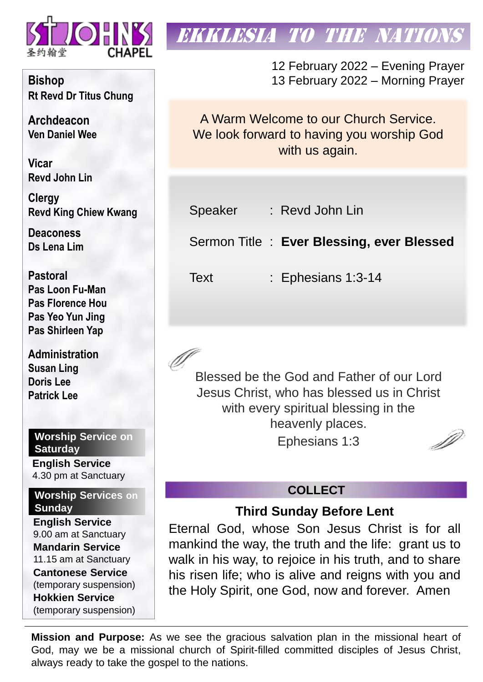

**Bishop Rt Revd Dr Titus Chung**

**Archdeacon Ven Daniel Wee**

**Vicar Revd John Lin** 

**Clergy Revd King Chiew Kwang**

**Deaconess Ds Lena Lim**

**Pastoral Pas Loon Fu-Man Pas Florence Hou Pas Yeo Yun Jing Pas Shirleen Yap**

**Administration Susan Ling Doris Lee Patrick Lee**

## **Worship Service on Saturday**

**English Service**  4.30 pm at Sanctuary

### **Worship Services on Sunday**

**English Service** 9.00 am at Sanctuary **Mandarin Service** 11.15 am at Sanctuary **Cantonese Service** (temporary suspension) **Hokkien Service** (temporary suspension)

# EKKLESIA TO THE NATIONS

12 February 2022 – Evening Prayer 13 February 2022 – Morning Prayer

A Warm Welcome to our Church Service. We look forward to having you worship God with us again.

Speaker : Revd John Lin

Sermon Title : **Ever Blessing, ever Blessed** 

Text : Ephesians 1:3-14

Blessed be the God and Father of our Lord Jesus Christ, who has blessed us in Christ with every spiritual blessing in the heavenly places. D Ephesians 1:3

## **COLLECT**

## **Third Sunday Before Lent**

Eternal God, whose Son Jesus Christ is for all mankind the way, the truth and the life: grant us to walk in his way, to rejoice in his truth, and to share his risen life; who is alive and reigns with you and the Holy Spirit, one God, now and forever. Amen

**Mission and Purpose:** As we see the gracious salvation plan in the missional heart of God, may we be a missional church of Spirit-filled committed disciples of Jesus Christ, always ready to take the gospel to the nations.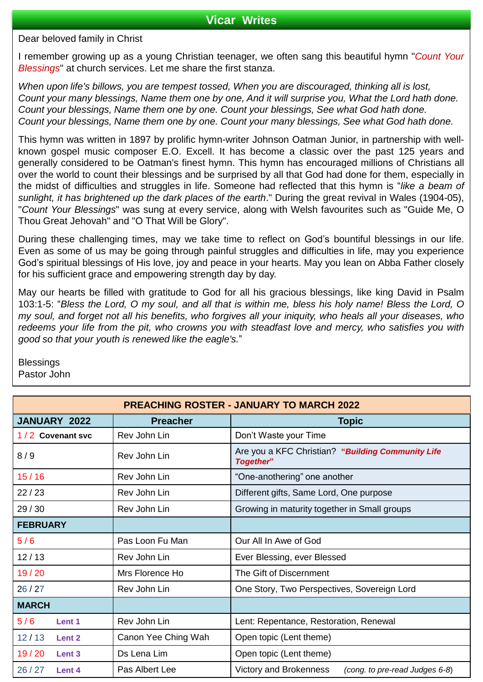#### **Vicar Writes**

Dear beloved family in Christ

I remember growing up as a young Christian teenager, we often sang this beautiful hymn "*Count Your Blessings*" at church services. Let me share the first stanza.

*When upon life's billows, you are tempest tossed, When you are discouraged, thinking all is lost,* Count your many blessings, Name them one by one, And it will surprise you, What the Lord hath done. *Count your blessings, Name them one by one. Count your blessings, See what God hath done. Count your blessings, Name them one by one. Count your many blessings, See what God hath done.*

This hymn was written in 1897 by prolific hymn-writer Johnson Oatman Junior, in partnership with wellknown gospel music composer E.O. Excell. It has become a classic over the past 125 years and generally considered to be Oatman's finest hymn. This hymn has encouraged millions of Christians all over the world to count their blessings and be surprised by all that God had done for them, especially in the midst of difficulties and struggles in life. Someone had reflected that this hymn is "*like a beam of sunlight, it has brightened up the dark places of the earth*." During the great revival in Wales (1904-05), "*Count Your Blessings*" was sung at every service, along with Welsh favourites such as "Guide Me, O Thou Great Jehovah" and "O That Will be Glory".

During these challenging times, may we take time to reflect on God's bountiful blessings in our life. Even as some of us may be going through painful struggles and difficulties in life, may you experience God's spiritual blessings of His love, joy and peace in your hearts. May you lean on Abba Father closely for his sufficient grace and empowering strength day by day.

May our hearts be filled with gratitude to God for all his gracious blessings, like king David in Psalm 103:1-5: "Bless the Lord, O my soul, and all that is within me, bless his holy name! Bless the Lord, O my soul, and forget not all his benefits, who forgives all your iniquity, who heals all your diseases, who redeems your life from the pit, who crowns you with steadfast love and mercy, who satisfies you with *good so that your youth is renewed like the eagle's.*"

**Blessings** Pastor John

| <b>PREACHING ROSTER - JANUARY TO MARCH 2022</b> |                     |                                                                |  |  |  |  |
|-------------------------------------------------|---------------------|----------------------------------------------------------------|--|--|--|--|
| JANUARY 2022                                    | <b>Preacher</b>     | <b>Topic</b>                                                   |  |  |  |  |
| 1/2 Covenant svc                                | Rev John Lin        | Don't Waste your Time                                          |  |  |  |  |
| 8/9                                             | Rev John Lin        | Are you a KFC Christian? "Building Community Life<br>Together" |  |  |  |  |
| 15/16                                           | Rev John Lin        | "One-anothering" one another                                   |  |  |  |  |
| 22/23                                           | Rev John Lin        | Different gifts, Same Lord, One purpose                        |  |  |  |  |
| 29/30                                           | Rev John Lin        | Growing in maturity together in Small groups                   |  |  |  |  |
| <b>FEBRUARY</b>                                 |                     |                                                                |  |  |  |  |
| 5/6                                             | Pas Loon Fu Man     | Our All In Awe of God                                          |  |  |  |  |
| 12/13                                           | Rev John Lin        | Ever Blessing, ever Blessed                                    |  |  |  |  |
| 19/20                                           | Mrs Florence Ho     | The Gift of Discernment                                        |  |  |  |  |
| 26/27                                           | Rev John Lin        | One Story, Two Perspectives, Sovereign Lord                    |  |  |  |  |
| <b>MARCH</b>                                    |                     |                                                                |  |  |  |  |
| 5/6<br>Lent 1                                   | Rev John Lin        | Lent: Repentance, Restoration, Renewal                         |  |  |  |  |
| 12/13<br>Lent <sub>2</sub>                      | Canon Yee Ching Wah | Open topic (Lent theme)                                        |  |  |  |  |
| 19/20<br>Lent <sub>3</sub>                      | Ds Lena Lim         | Open topic (Lent theme)                                        |  |  |  |  |
| 26/27<br>Lent 4                                 | Pas Albert Lee      | Victory and Brokenness<br>(cong. to pre-read Judges 6-8)       |  |  |  |  |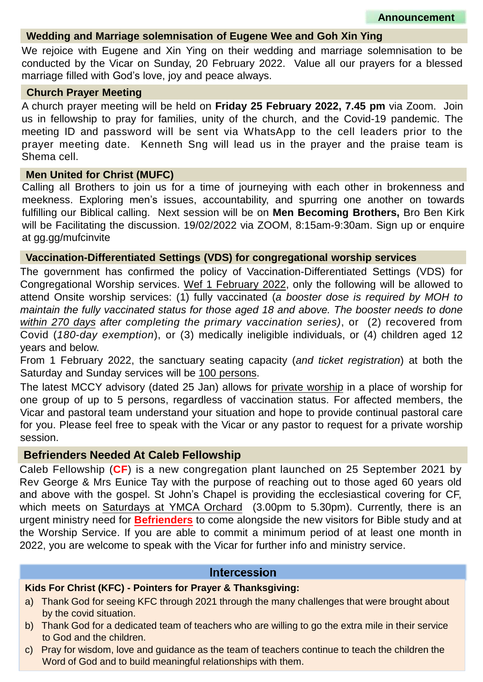#### **Wedding and Marriage solemnisation of Eugene Wee and Goh Xin Ying**

We rejoice with Eugene and Xin Ying on their wedding and marriage solemnisation to be conducted by the Vicar on Sunday, 20 February 2022. Value all our prayers for a blessed marriage filled with God's love, joy and peace always.

#### **Church Prayer Meeting**

A church prayer meeting will be held on **Friday 25 February 2022, 7.45 pm** via Zoom. Join us in fellowship to pray for families, unity of the church, and the Covid-19 pandemic. The meeting ID and password will be sent via WhatsApp to the cell leaders prior to the prayer meeting date. Kenneth Sng will lead us in the prayer and the praise team is Shema cell.

#### **Men United for Christ (MUFC)**

Calling all Brothers to join us for a time of journeying with each other in brokenness and meekness. Exploring men's issues, accountability, and spurring one another on towards fulfilling our Biblical calling. Next session will be on **Men Becoming Brothers,** Bro Ben Kirk will be Facilitating the discussion. 19/02/2022 via ZOOM, 8:15am-9:30am. Sign up or enquire at gg.gg/mufcinvite

#### **Vaccination-Differentiated Settings (VDS) for congregational worship services**

The government has confirmed the policy of Vaccination-Differentiated Settings (VDS) for Congregational Worship services. Wef 1 February 2022, only the following will be allowed to attend Onsite worship services: (1) fully vaccinated (*a booster dose is required by MOH to maintain the fully vaccinated status for those aged 18 and above. The booster needs to done within 270 days after completing the primary vaccination series)*, or (2) recovered from Covid (*180-day exemption*), or (3) medically ineligible individuals, or (4) children aged 12 years and below.

From 1 February 2022, the sanctuary seating capacity (*and ticket registration*) at both the Saturday and Sunday services will be 100 persons.

The latest MCCY advisory (dated 25 Jan) allows for private worship in a place of worship for one group of up to 5 persons, regardless of vaccination status. For affected members, the Vicar and pastoral team understand your situation and hope to provide continual pastoral care for you. Please feel free to speak with the Vicar or any pastor to request for a private worship session.

#### **Befrienders Needed At Caleb Fellowship**

Caleb Fellowship (**CF**) is a new congregation plant launched on 25 September 2021 by Rev George & Mrs Eunice Tay with the purpose of reaching out to those aged 60 years old and above with the gospel. St John's Chapel is providing the ecclesiastical covering for CF, which meets on Saturdays at YMCA Orchard (3.00pm to 5.30pm). Currently, there is an urgent ministry need for **Befrienders** to come alongside the new visitors for Bible study and at the Worship Service. If you are able to commit a minimum period of at least one month in 2022, you are welcome to speak with the Vicar for further info and ministry service.

#### **Intercession**

#### **Kids For Christ (KFC) - Pointers for Prayer & Thanksgiving:**

- a) Thank God for seeing KFC through 2021 through the many challenges that were brought about by the covid situation.
- b) Thank God for a dedicated team of teachers who are willing to go the extra mile in their service to God and the children.
- c) Pray for wisdom, love and guidance as the team of teachers continue to teach the children the Word of God and to build meaningful relationships with them.